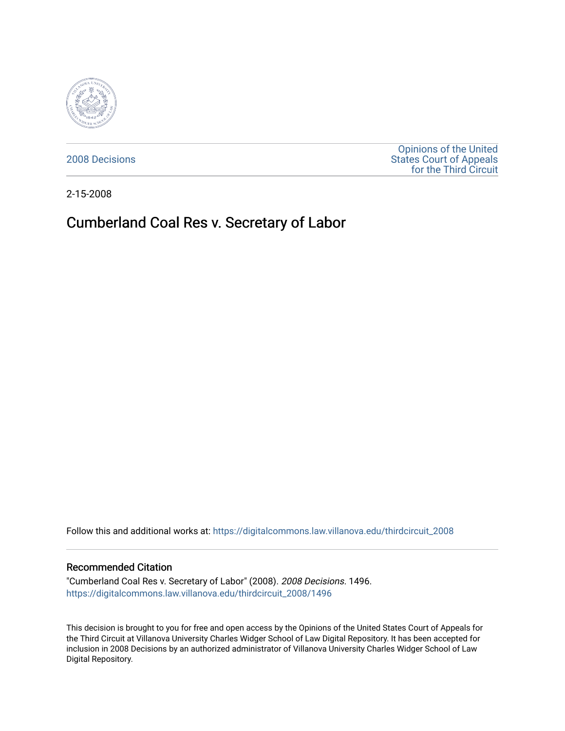

[2008 Decisions](https://digitalcommons.law.villanova.edu/thirdcircuit_2008)

[Opinions of the United](https://digitalcommons.law.villanova.edu/thirdcircuit)  [States Court of Appeals](https://digitalcommons.law.villanova.edu/thirdcircuit)  [for the Third Circuit](https://digitalcommons.law.villanova.edu/thirdcircuit) 

2-15-2008

# Cumberland Coal Res v. Secretary of Labor

Follow this and additional works at: [https://digitalcommons.law.villanova.edu/thirdcircuit\\_2008](https://digitalcommons.law.villanova.edu/thirdcircuit_2008?utm_source=digitalcommons.law.villanova.edu%2Fthirdcircuit_2008%2F1496&utm_medium=PDF&utm_campaign=PDFCoverPages) 

#### Recommended Citation

"Cumberland Coal Res v. Secretary of Labor" (2008). 2008 Decisions. 1496. [https://digitalcommons.law.villanova.edu/thirdcircuit\\_2008/1496](https://digitalcommons.law.villanova.edu/thirdcircuit_2008/1496?utm_source=digitalcommons.law.villanova.edu%2Fthirdcircuit_2008%2F1496&utm_medium=PDF&utm_campaign=PDFCoverPages) 

This decision is brought to you for free and open access by the Opinions of the United States Court of Appeals for the Third Circuit at Villanova University Charles Widger School of Law Digital Repository. It has been accepted for inclusion in 2008 Decisions by an authorized administrator of Villanova University Charles Widger School of Law Digital Repository.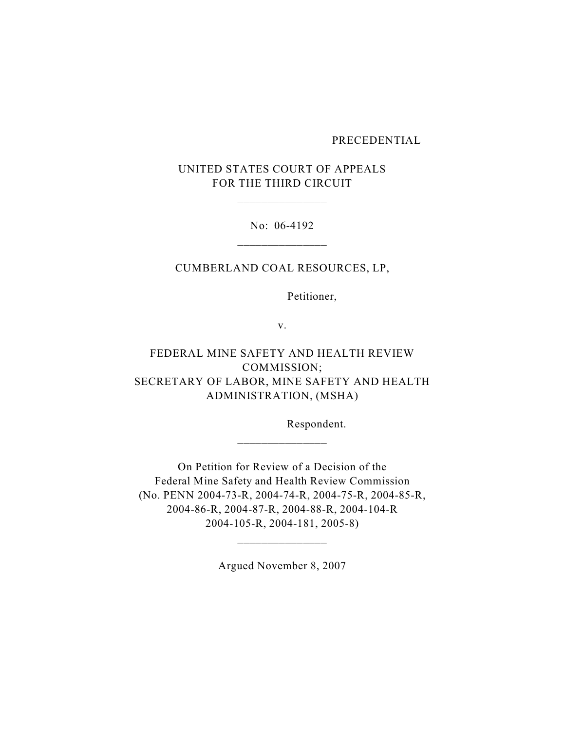#### PRECEDENTIAL

# UNITED STATES COURT OF APPEALS FOR THE THIRD CIRCUIT

\_\_\_\_\_\_\_\_\_\_\_\_\_\_\_

No: 06-4192

CUMBERLAND COAL RESOURCES, LP,

Petitioner,

v.

FEDERAL MINE SAFETY AND HEALTH REVIEW COMMISSION; SECRETARY OF LABOR, MINE SAFETY AND HEALTH ADMINISTRATION, (MSHA)

Respondent.

On Petition for Review of a Decision of the Federal Mine Safety and Health Review Commission (No. PENN 2004-73-R, 2004-74-R, 2004-75-R, 2004-85-R, 2004-86-R, 2004-87-R, 2004-88-R, 2004-104-R 2004-105-R, 2004-181, 2005-8)

\_\_\_\_\_\_\_\_\_\_\_\_\_\_\_

Argued November 8, 2007

\_\_\_\_\_\_\_\_\_\_\_\_\_\_\_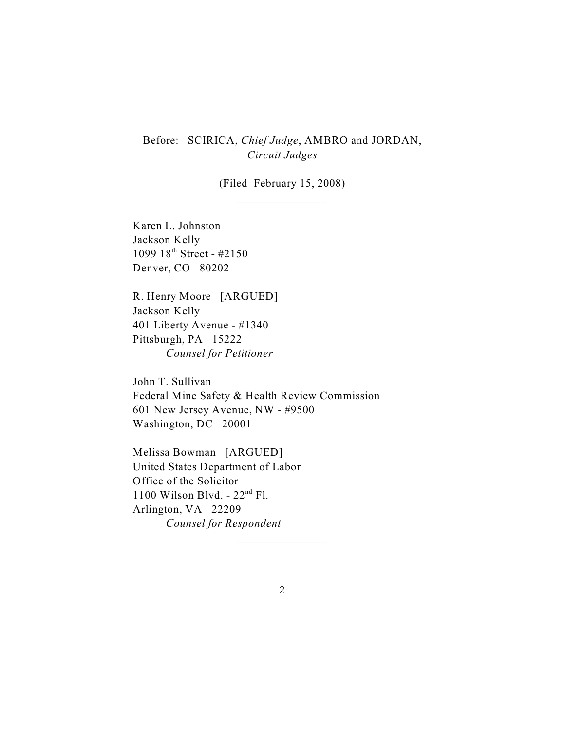Before: SCIRICA, *Chief Judge*, AMBRO and JORDAN, *Circuit Judges*

> (Filed February 15, 2008) \_\_\_\_\_\_\_\_\_\_\_\_\_\_\_

Karen L. Johnston Jackson Kelly 1099  $18^{th}$  Street - #2150 Denver, CO 80202

R. Henry Moore [ARGUED] Jackson Kelly 401 Liberty Avenue - #1340 Pittsburgh, PA 15222 *Counsel for Petitioner*

John T. Sullivan Federal Mine Safety & Health Review Commission 601 New Jersey Avenue, NW - #9500 Washington, DC 20001

Melissa Bowman [ARGUED] United States Department of Labor Office of the Solicitor 1100 Wilson Blvd. -  $22<sup>nd</sup>$  Fl. Arlington, VA 22209 *Counsel for Respondent*

\_\_\_\_\_\_\_\_\_\_\_\_\_\_\_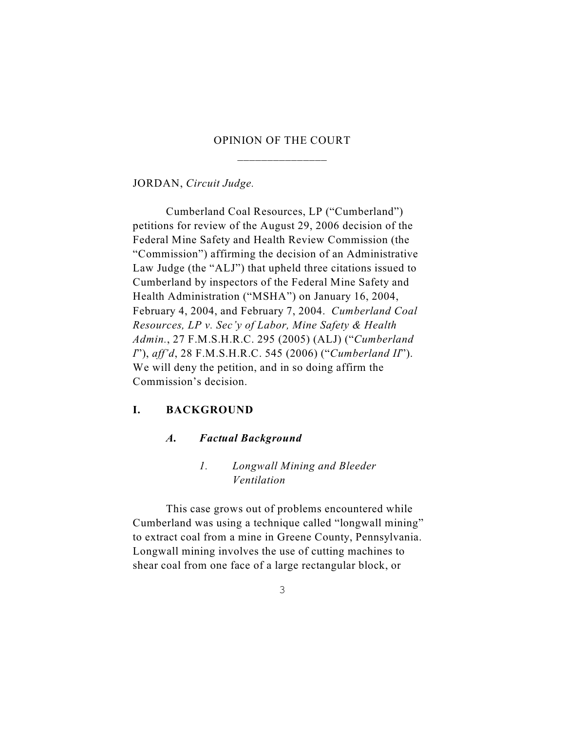# OPINION OF THE COURT \_\_\_\_\_\_\_\_\_\_\_\_\_\_\_

JORDAN, *Circuit Judge.*

Cumberland Coal Resources, LP ("Cumberland") petitions for review of the August 29, 2006 decision of the Federal Mine Safety and Health Review Commission (the "Commission") affirming the decision of an Administrative Law Judge (the "ALJ") that upheld three citations issued to Cumberland by inspectors of the Federal Mine Safety and Health Administration ("MSHA") on January 16, 2004, February 4, 2004, and February 7, 2004. *Cumberland Coal Resources, LP v. Sec'y of Labor, Mine Safety & Health Admin.*, 27 F.M.S.H.R.C. 295 (2005) (ALJ) ("*Cumberland I*"), *aff'd*, 28 F.M.S.H.R.C. 545 (2006) ("*Cumberland II*"). We will deny the petition, and in so doing affirm the Commission's decision.

### **I. BACKGROUND**

#### *A. Factual Background*

# *1. Longwall Mining and Bleeder Ventilation*

This case grows out of problems encountered while Cumberland was using a technique called "longwall mining" to extract coal from a mine in Greene County, Pennsylvania. Longwall mining involves the use of cutting machines to shear coal from one face of a large rectangular block, or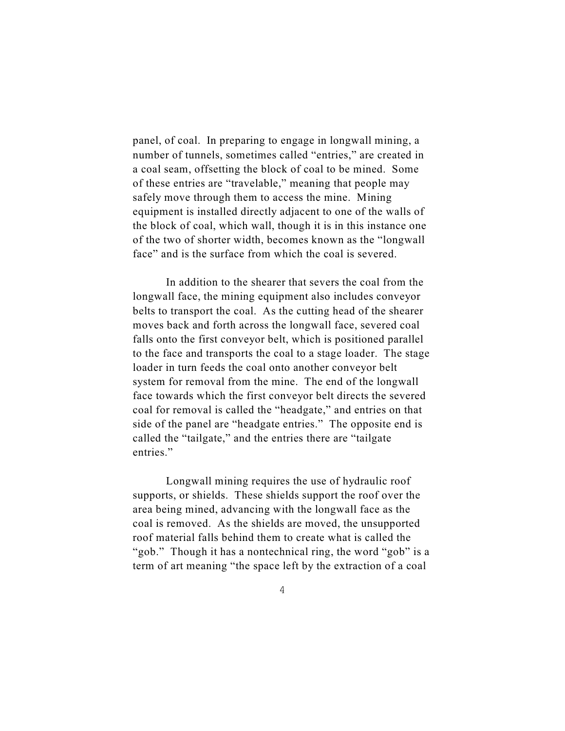panel, of coal. In preparing to engage in longwall mining, a number of tunnels, sometimes called "entries," are created in a coal seam, offsetting the block of coal to be mined. Some of these entries are "travelable," meaning that people may safely move through them to access the mine. Mining equipment is installed directly adjacent to one of the walls of the block of coal, which wall, though it is in this instance one of the two of shorter width, becomes known as the "longwall face" and is the surface from which the coal is severed.

In addition to the shearer that severs the coal from the longwall face, the mining equipment also includes conveyor belts to transport the coal. As the cutting head of the shearer moves back and forth across the longwall face, severed coal falls onto the first conveyor belt, which is positioned parallel to the face and transports the coal to a stage loader. The stage loader in turn feeds the coal onto another conveyor belt system for removal from the mine. The end of the longwall face towards which the first conveyor belt directs the severed coal for removal is called the "headgate," and entries on that side of the panel are "headgate entries." The opposite end is called the "tailgate," and the entries there are "tailgate entries."

Longwall mining requires the use of hydraulic roof supports, or shields. These shields support the roof over the area being mined, advancing with the longwall face as the coal is removed. As the shields are moved, the unsupported roof material falls behind them to create what is called the "gob." Though it has a nontechnical ring, the word "gob" is a term of art meaning "the space left by the extraction of a coal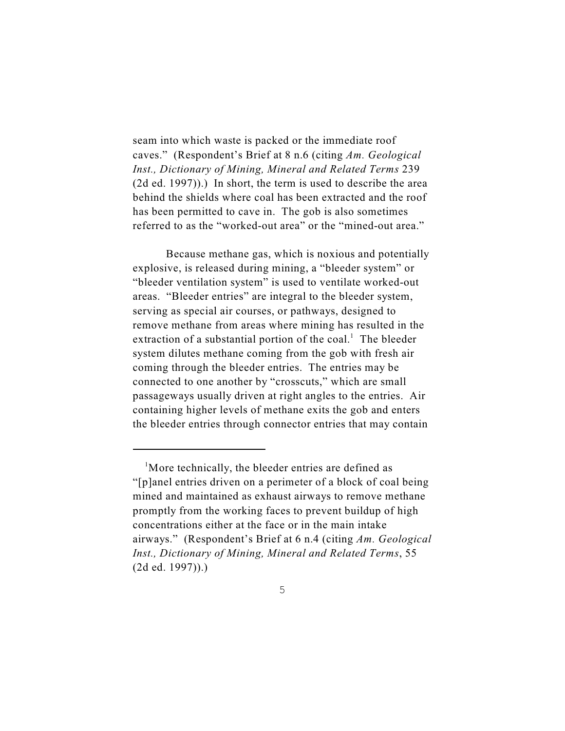seam into which waste is packed or the immediate roof caves." (Respondent's Brief at 8 n.6 (citing *Am. Geological Inst., Dictionary of Mining, Mineral and Related Terms* 239 (2d ed. 1997)).) In short, the term is used to describe the area behind the shields where coal has been extracted and the roof has been permitted to cave in. The gob is also sometimes referred to as the "worked-out area" or the "mined-out area."

Because methane gas, which is noxious and potentially explosive, is released during mining, a "bleeder system" or "bleeder ventilation system" is used to ventilate worked-out areas. "Bleeder entries" are integral to the bleeder system, serving as special air courses, or pathways, designed to remove methane from areas where mining has resulted in the extraction of a substantial portion of the coal.<sup>1</sup> The bleeder system dilutes methane coming from the gob with fresh air coming through the bleeder entries. The entries may be connected to one another by "crosscuts," which are small passageways usually driven at right angles to the entries. Air containing higher levels of methane exits the gob and enters the bleeder entries through connector entries that may contain

 $<sup>1</sup>$ More technically, the bleeder entries are defined as</sup> "[p]anel entries driven on a perimeter of a block of coal being mined and maintained as exhaust airways to remove methane promptly from the working faces to prevent buildup of high concentrations either at the face or in the main intake airways." (Respondent's Brief at 6 n.4 (citing *Am. Geological Inst., Dictionary of Mining, Mineral and Related Terms*, 55 (2d ed. 1997)).)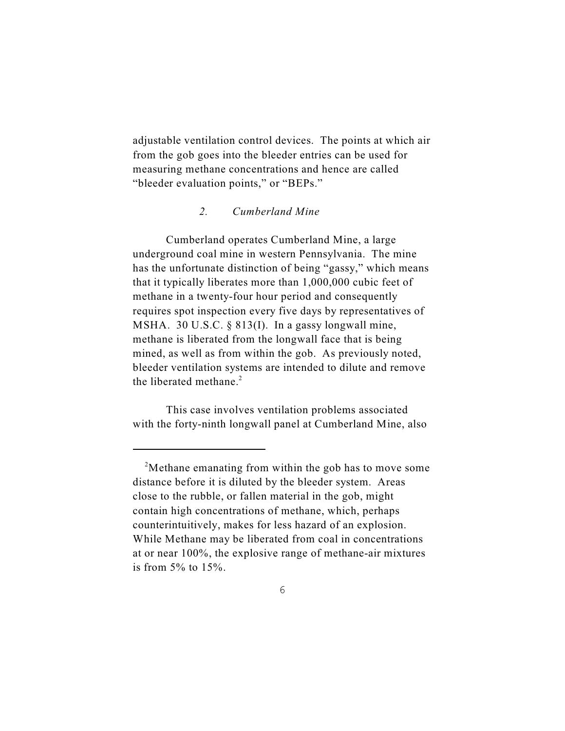adjustable ventilation control devices. The points at which air from the gob goes into the bleeder entries can be used for measuring methane concentrations and hence are called "bleeder evaluation points," or "BEPs."

#### *2. Cumberland Mine*

Cumberland operates Cumberland Mine, a large underground coal mine in western Pennsylvania. The mine has the unfortunate distinction of being "gassy," which means that it typically liberates more than 1,000,000 cubic feet of methane in a twenty-four hour period and consequently requires spot inspection every five days by representatives of MSHA. 30 U.S.C. § 813(I). In a gassy longwall mine, methane is liberated from the longwall face that is being mined, as well as from within the gob. As previously noted, bleeder ventilation systems are intended to dilute and remove the liberated methane. $2$ 

This case involves ventilation problems associated with the forty-ninth longwall panel at Cumberland Mine, also

<sup>&</sup>lt;sup>2</sup>Methane emanating from within the gob has to move some distance before it is diluted by the bleeder system. Areas close to the rubble, or fallen material in the gob, might contain high concentrations of methane, which, perhaps counterintuitively, makes for less hazard of an explosion. While Methane may be liberated from coal in concentrations at or near 100%, the explosive range of methane-air mixtures is from  $5\%$  to  $15\%$ .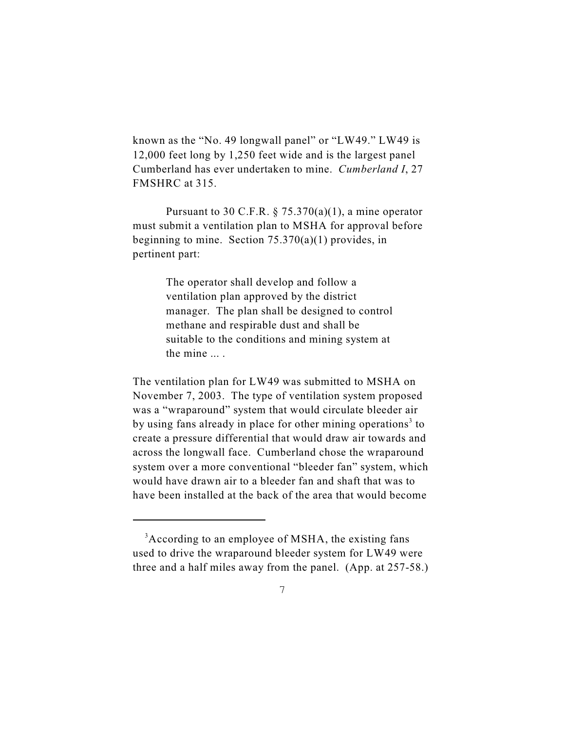known as the "No. 49 longwall panel" or "LW49." LW49 is 12,000 feet long by 1,250 feet wide and is the largest panel Cumberland has ever undertaken to mine. *Cumberland I*, 27 FMSHRC at 315.

Pursuant to 30 C.F.R.  $\S$  75.370(a)(1), a mine operator must submit a ventilation plan to MSHA for approval before beginning to mine. Section  $75.370(a)(1)$  provides, in pertinent part:

> The operator shall develop and follow a ventilation plan approved by the district manager. The plan shall be designed to control methane and respirable dust and shall be suitable to the conditions and mining system at the mine ... .

The ventilation plan for LW49 was submitted to MSHA on November 7, 2003. The type of ventilation system proposed was a "wraparound" system that would circulate bleeder air by using fans already in place for other mining operations<sup>3</sup> to create a pressure differential that would draw air towards and across the longwall face. Cumberland chose the wraparound system over a more conventional "bleeder fan" system, which would have drawn air to a bleeder fan and shaft that was to have been installed at the back of the area that would become

<sup>&</sup>lt;sup>3</sup> According to an employee of MSHA, the existing fans used to drive the wraparound bleeder system for LW49 were three and a half miles away from the panel. (App. at 257-58.)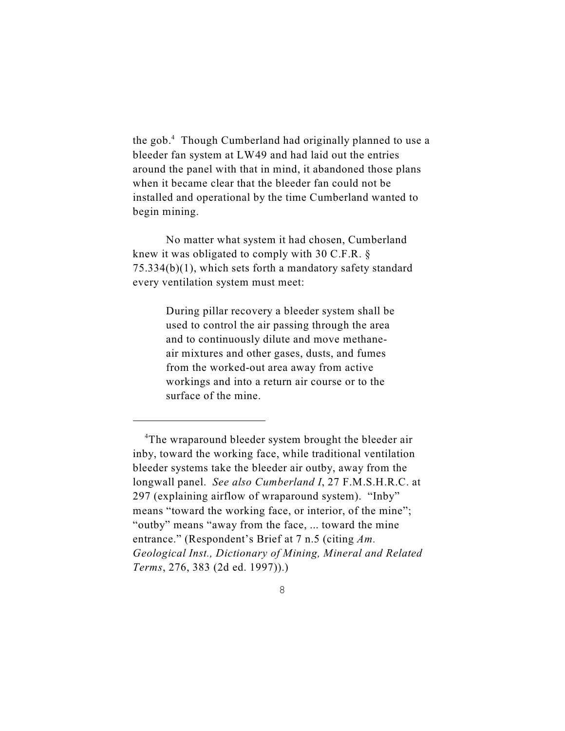the gob. $4$  Though Cumberland had originally planned to use a bleeder fan system at LW49 and had laid out the entries around the panel with that in mind, it abandoned those plans when it became clear that the bleeder fan could not be installed and operational by the time Cumberland wanted to begin mining.

No matter what system it had chosen, Cumberland knew it was obligated to comply with 30 C.F.R. § 75.334(b)(1), which sets forth a mandatory safety standard every ventilation system must meet:

> During pillar recovery a bleeder system shall be used to control the air passing through the area and to continuously dilute and move methaneair mixtures and other gases, dusts, and fumes from the worked-out area away from active workings and into a return air course or to the surface of the mine.

<sup>&</sup>lt;sup>4</sup>The wraparound bleeder system brought the bleeder air inby, toward the working face, while traditional ventilation bleeder systems take the bleeder air outby, away from the longwall panel. *See also Cumberland I*, 27 F.M.S.H.R.C. at 297 (explaining airflow of wraparound system). "Inby" means "toward the working face, or interior, of the mine"; "outby" means "away from the face, ... toward the mine entrance." (Respondent's Brief at 7 n.5 (citing *Am. Geological Inst., Dictionary of Mining, Mineral and Related Terms*, 276, 383 (2d ed. 1997)).)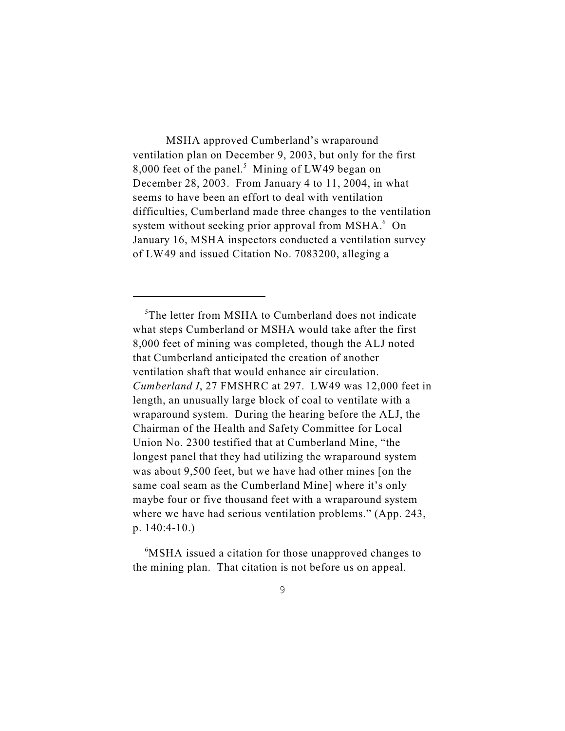MSHA approved Cumberland's wraparound ventilation plan on December 9, 2003, but only for the first 8,000 feet of the panel.<sup>5</sup> Mining of LW49 began on December 28, 2003. From January 4 to 11, 2004, in what seems to have been an effort to deal with ventilation difficulties, Cumberland made three changes to the ventilation system without seeking prior approval from MSHA. $<sup>6</sup>$  On</sup> January 16, MSHA inspectors conducted a ventilation survey of LW49 and issued Citation No. 7083200, alleging a

 $5$ The letter from MSHA to Cumberland does not indicate what steps Cumberland or MSHA would take after the first 8,000 feet of mining was completed, though the ALJ noted that Cumberland anticipated the creation of another ventilation shaft that would enhance air circulation. *Cumberland I*, 27 FMSHRC at 297. LW49 was 12,000 feet in length, an unusually large block of coal to ventilate with a wraparound system. During the hearing before the ALJ, the Chairman of the Health and Safety Committee for Local Union No. 2300 testified that at Cumberland Mine, "the longest panel that they had utilizing the wraparound system was about 9,500 feet, but we have had other mines [on the same coal seam as the Cumberland Mine] where it's only maybe four or five thousand feet with a wraparound system where we have had serious ventilation problems." (App. 243, p. 140:4-10.)

<sup>6</sup>MSHA issued a citation for those unapproved changes to the mining plan. That citation is not before us on appeal.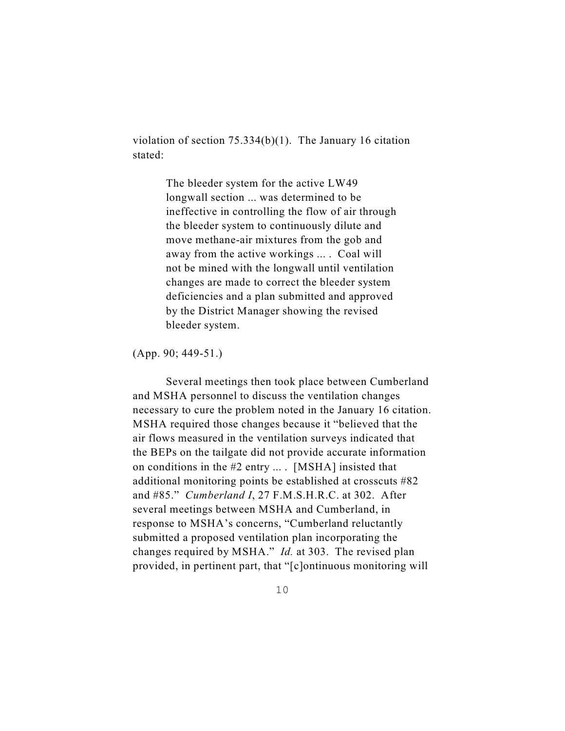violation of section 75.334(b)(1). The January 16 citation stated:

> The bleeder system for the active LW49 longwall section ... was determined to be ineffective in controlling the flow of air through the bleeder system to continuously dilute and move methane-air mixtures from the gob and away from the active workings ... . Coal will not be mined with the longwall until ventilation changes are made to correct the bleeder system deficiencies and a plan submitted and approved by the District Manager showing the revised bleeder system.

(App. 90; 449-51.)

Several meetings then took place between Cumberland and MSHA personnel to discuss the ventilation changes necessary to cure the problem noted in the January 16 citation. MSHA required those changes because it "believed that the air flows measured in the ventilation surveys indicated that the BEPs on the tailgate did not provide accurate information on conditions in the #2 entry ... . [MSHA] insisted that additional monitoring points be established at crosscuts #82 and #85." *Cumberland I*, 27 F.M.S.H.R.C. at 302. After several meetings between MSHA and Cumberland, in response to MSHA's concerns, "Cumberland reluctantly submitted a proposed ventilation plan incorporating the changes required by MSHA." *Id.* at 303. The revised plan provided, in pertinent part, that "[c]ontinuous monitoring will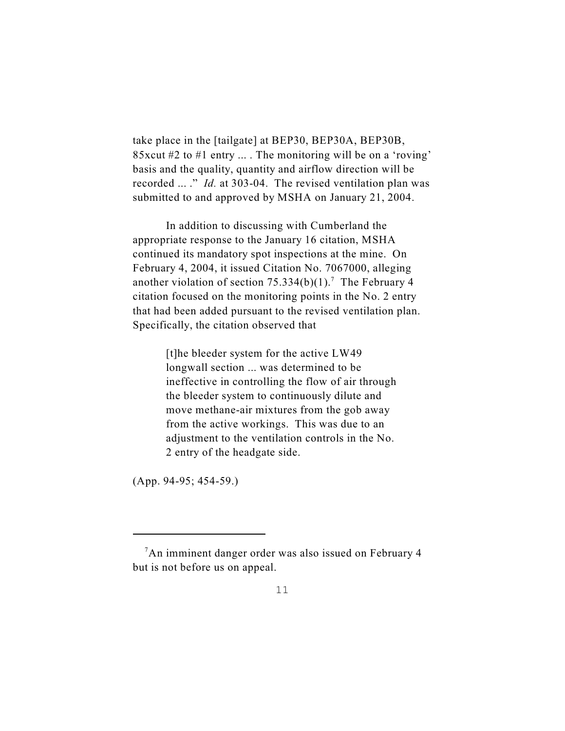take place in the [tailgate] at BEP30, BEP30A, BEP30B, 85xcut #2 to #1 entry ... . The monitoring will be on a 'roving' basis and the quality, quantity and airflow direction will be recorded ... ." *Id.* at 303-04. The revised ventilation plan was submitted to and approved by MSHA on January 21, 2004.

In addition to discussing with Cumberland the appropriate response to the January 16 citation, MSHA continued its mandatory spot inspections at the mine. On February 4, 2004, it issued Citation No. 7067000, alleging another violation of section  $75.334(b)(1)$ .<sup>7</sup> The February 4 citation focused on the monitoring points in the No. 2 entry that had been added pursuant to the revised ventilation plan. Specifically, the citation observed that

> [t]he bleeder system for the active LW49 longwall section ... was determined to be ineffective in controlling the flow of air through the bleeder system to continuously dilute and move methane-air mixtures from the gob away from the active workings. This was due to an adjustment to the ventilation controls in the No. 2 entry of the headgate side.

(App. 94-95; 454-59.)

<sup>&</sup>lt;sup>7</sup>An imminent danger order was also issued on February 4 but is not before us on appeal.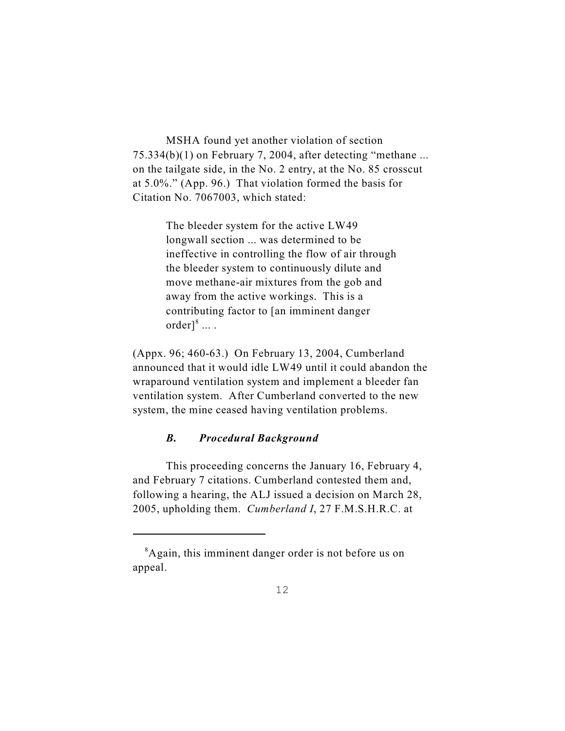MSHA found yet another violation of section 75.334(b)(1) on February 7, 2004, after detecting "methane ... on the tailgate side, in the No. 2 entry, at the No. 85 crosscut at 5.0%." (App. 96.) That violation formed the basis for Citation No. 7067003, which stated:

> The bleeder system for the active LW49 longwall section ... was determined to be ineffective in controlling the flow of air through the bleeder system to continuously dilute and move methane-air mixtures from the gob and away from the active workings. This is a contributing factor to [an imminent danger  $order]^{8} \dots$ .

(Appx. 96; 460-63.) On February 13, 2004, Cumberland announced that it would idle LW49 until it could abandon the wraparound ventilation system and implement a bleeder fan ventilation system. After Cumberland converted to the new system, the mine ceased having ventilation problems.

### *B. Procedural Background*

This proceeding concerns the January 16, February 4, and February 7 citations. Cumberland contested them and, following a hearing, the ALJ issued a decision on March 28, 2005, upholding them. *Cumberland I*, 27 F.M.S.H.R.C. at

<sup>&</sup>lt;sup>8</sup>Again, this imminent danger order is not before us on appeal.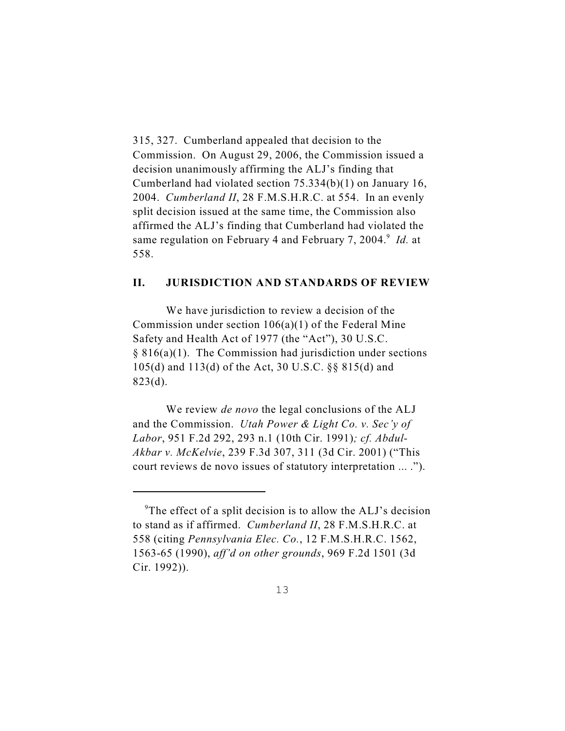315, 327. Cumberland appealed that decision to the Commission. On August 29, 2006, the Commission issued a decision unanimously affirming the ALJ's finding that Cumberland had violated section 75.334(b)(1) on January 16, 2004. *Cumberland II*, 28 F.M.S.H.R.C. at 554. In an evenly split decision issued at the same time, the Commission also affirmed the ALJ's finding that Cumberland had violated the same regulation on February 4 and February 7, 2004.<sup>9</sup> Id. at 558.

#### **II. JURISDICTION AND STANDARDS OF REVIEW**

We have jurisdiction to review a decision of the Commission under section  $106(a)(1)$  of the Federal Mine Safety and Health Act of 1977 (the "Act"), 30 U.S.C. § 816(a)(1). The Commission had jurisdiction under sections 105(d) and 113(d) of the Act, 30 U.S.C. §§ 815(d) and 823(d).

We review *de novo* the legal conclusions of the ALJ and the Commission. *Utah Power & Light Co. v. Sec'y of Labor*, 951 F.2d 292, 293 n.1 (10th Cir. 1991)*; cf. Abdul-Akbar v. McKelvie*, 239 F.3d 307, 311 (3d Cir. 2001) ("This court reviews de novo issues of statutory interpretation ... .").

<sup>&</sup>lt;sup>9</sup>The effect of a split decision is to allow the ALJ's decision to stand as if affirmed. *Cumberland II*, 28 F.M.S.H.R.C. at 558 (citing *Pennsylvania Elec. Co.*, 12 F.M.S.H.R.C. 1562, 1563-65 (1990), *aff'd on other grounds*, 969 F.2d 1501 (3d Cir. 1992)).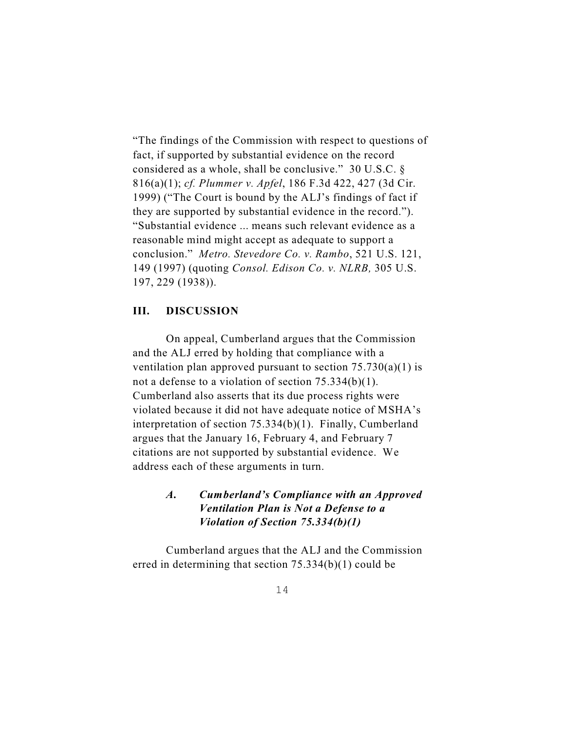"The findings of the Commission with respect to questions of fact, if supported by substantial evidence on the record considered as a whole, shall be conclusive." 30 U.S.C. § 816(a)(1); *cf. Plummer v. Apfel*, 186 F.3d 422, 427 (3d Cir. 1999) ("The Court is bound by the ALJ's findings of fact if they are supported by substantial evidence in the record."). "Substantial evidence ... means such relevant evidence as a reasonable mind might accept as adequate to support a conclusion." *Metro. Stevedore Co. v. Rambo*, 521 U.S. 121, 149 (1997) (quoting *Consol. Edison Co. v. NLRB,* 305 U.S. 197, 229 (1938)).

### **III. DISCUSSION**

On appeal, Cumberland argues that the Commission and the ALJ erred by holding that compliance with a ventilation plan approved pursuant to section  $75.730(a)(1)$  is not a defense to a violation of section 75.334(b)(1). Cumberland also asserts that its due process rights were violated because it did not have adequate notice of MSHA's interpretation of section 75.334(b)(1). Finally, Cumberland argues that the January 16, February 4, and February 7 citations are not supported by substantial evidence. We address each of these arguments in turn.

# *A. Cumberland's Compliance with an Approved Ventilation Plan is Not a Defense to a Violation of Section 75.334(b)(1)*

Cumberland argues that the ALJ and the Commission erred in determining that section 75.334(b)(1) could be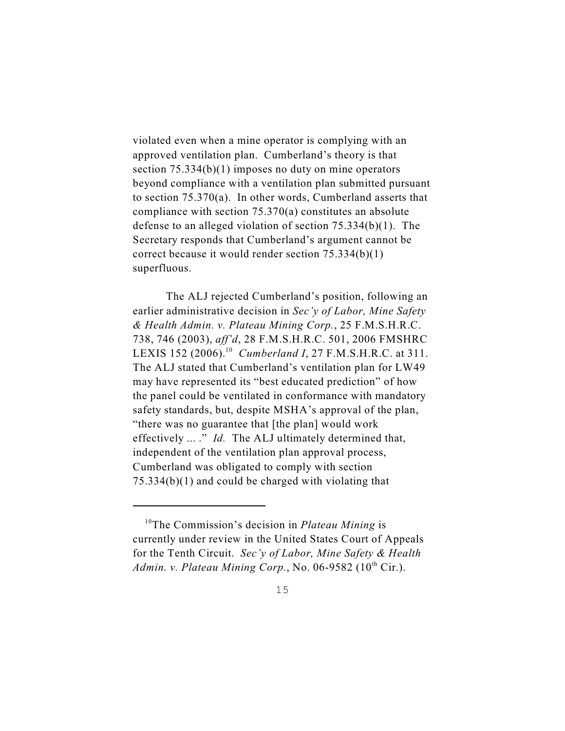violated even when a mine operator is complying with an approved ventilation plan. Cumberland's theory is that section 75.334(b)(1) imposes no duty on mine operators beyond compliance with a ventilation plan submitted pursuant to section 75.370(a). In other words, Cumberland asserts that compliance with section 75.370(a) constitutes an absolute defense to an alleged violation of section 75.334(b)(1). The Secretary responds that Cumberland's argument cannot be correct because it would render section 75.334(b)(1) superfluous.

The ALJ rejected Cumberland's position, following an earlier administrative decision in *Sec'y of Labor, Mine Safety & Health Admin. v. Plateau Mining Corp.*, 25 F.M.S.H.R.C. 738, 746 (2003), *aff'd*, 28 F.M.S.H.R.C. 501, 2006 FMSHRC LEXIS 152 (2006).<sup>10</sup> Cumberland I, 27 F.M.S.H.R.C. at 311. The ALJ stated that Cumberland's ventilation plan for LW49 may have represented its "best educated prediction" of how the panel could be ventilated in conformance with mandatory safety standards, but, despite MSHA's approval of the plan, "there was no guarantee that [the plan] would work effectively ... ." *Id.* The ALJ ultimately determined that, independent of the ventilation plan approval process, Cumberland was obligated to comply with section 75.334(b)(1) and could be charged with violating that

15

<sup>&</sup>lt;sup>10</sup>The Commission's decision in *Plateau Mining* is currently under review in the United States Court of Appeals for the Tenth Circuit. *Sec'y of Labor, Mine Safety & Health Admin. v. Plateau Mining Corp.*, No. 06-9582 ( $10<sup>th</sup>$  Cir.).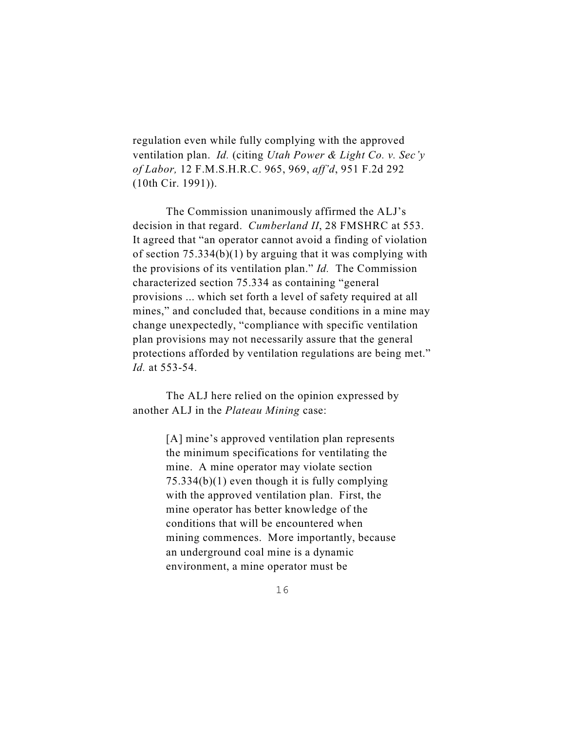regulation even while fully complying with the approved ventilation plan. *Id.* (citing *Utah Power & Light Co. v. Sec'y of Labor,* 12 F.M.S.H.R.C. 965, 969, *aff'd*, 951 F.2d 292 (10th Cir. 1991)).

The Commission unanimously affirmed the ALJ's decision in that regard. *Cumberland II*, 28 FMSHRC at 553. It agreed that "an operator cannot avoid a finding of violation of section  $75.334(b)(1)$  by arguing that it was complying with the provisions of its ventilation plan." *Id.* The Commission characterized section 75.334 as containing "general provisions ... which set forth a level of safety required at all mines," and concluded that, because conditions in a mine may change unexpectedly, "compliance with specific ventilation plan provisions may not necessarily assure that the general protections afforded by ventilation regulations are being met." *Id.* at 553-54.

The ALJ here relied on the opinion expressed by another ALJ in the *Plateau Mining* case:

> [A] mine's approved ventilation plan represents the minimum specifications for ventilating the mine. A mine operator may violate section 75.334(b)(1) even though it is fully complying with the approved ventilation plan. First, the mine operator has better knowledge of the conditions that will be encountered when mining commences. More importantly, because an underground coal mine is a dynamic environment, a mine operator must be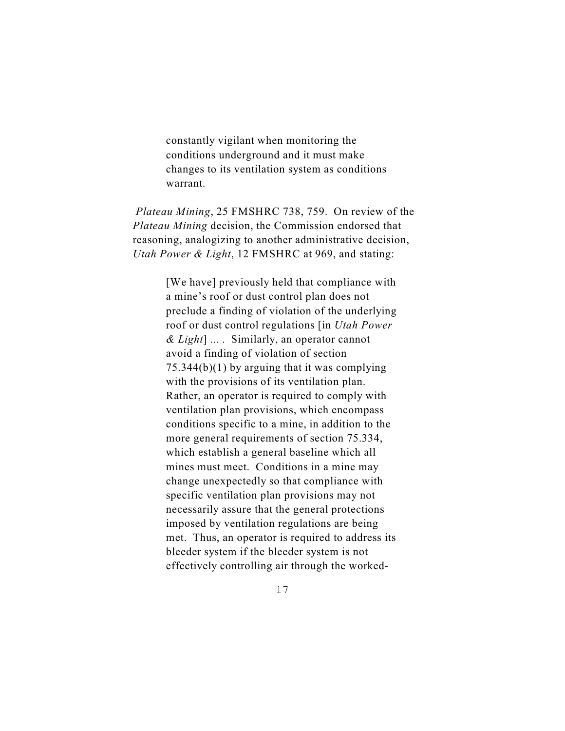constantly vigilant when monitoring the conditions underground and it must make changes to its ventilation system as conditions warrant.

*Plateau Mining*, 25 FMSHRC 738, 759. On review of the *Plateau Mining* decision, the Commission endorsed that reasoning, analogizing to another administrative decision, *Utah Power & Light*, 12 FMSHRC at 969, and stating:

> [We have] previously held that compliance with a mine's roof or dust control plan does not preclude a finding of violation of the underlying roof or dust control regulations [in *Utah Power & Light*] ... . Similarly, an operator cannot avoid a finding of violation of section 75.344(b)(1) by arguing that it was complying with the provisions of its ventilation plan. Rather, an operator is required to comply with ventilation plan provisions, which encompass conditions specific to a mine, in addition to the more general requirements of section 75.334, which establish a general baseline which all mines must meet. Conditions in a mine may change unexpectedly so that compliance with specific ventilation plan provisions may not necessarily assure that the general protections imposed by ventilation regulations are being met. Thus, an operator is required to address its bleeder system if the bleeder system is not effectively controlling air through the worked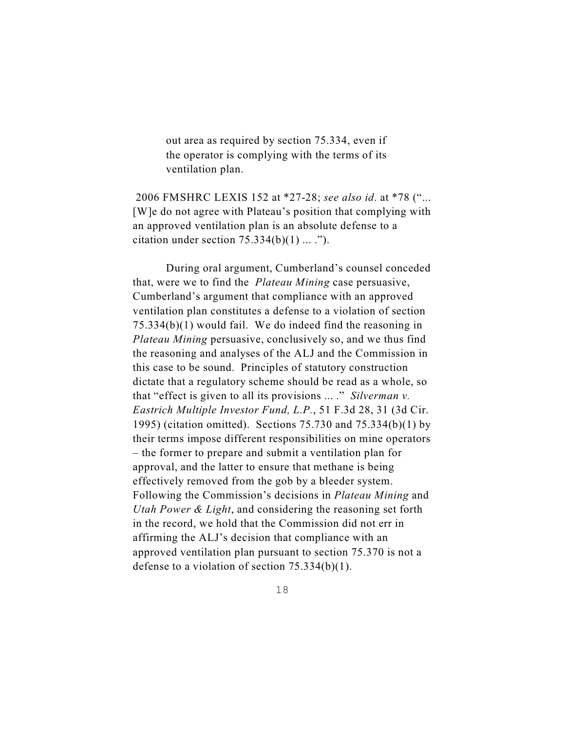out area as required by section 75.334, even if the operator is complying with the terms of its ventilation plan.

 2006 FMSHRC LEXIS 152 at \*27-28; *see also id*. at \*78 ("... [W]e do not agree with Plateau's position that complying with an approved ventilation plan is an absolute defense to a citation under section  $75.334(b)(1) ...$ .").

During oral argument, Cumberland's counsel conceded that, were we to find the *Plateau Mining* case persuasive, Cumberland's argument that compliance with an approved ventilation plan constitutes a defense to a violation of section 75.334(b)(1) would fail. We do indeed find the reasoning in *Plateau Mining* persuasive, conclusively so, and we thus find the reasoning and analyses of the ALJ and the Commission in this case to be sound. Principles of statutory construction dictate that a regulatory scheme should be read as a whole, so that "effect is given to all its provisions ... ." *Silverman v. Eastrich Multiple Investor Fund, L.P.*, 51 F.3d 28, 31 (3d Cir. 1995) (citation omitted).Sections 75.730 and 75.334(b)(1) by their terms impose different responsibilities on mine operators – the former to prepare and submit a ventilation plan for approval, and the latter to ensure that methane is being effectively removed from the gob by a bleeder system. Following the Commission's decisions in *Plateau Mining* and *Utah Power & Light*, and considering the reasoning set forth in the record, we hold that the Commission did not err in affirming the ALJ's decision that compliance with an approved ventilation plan pursuant to section 75.370 is not a defense to a violation of section 75.334(b)(1).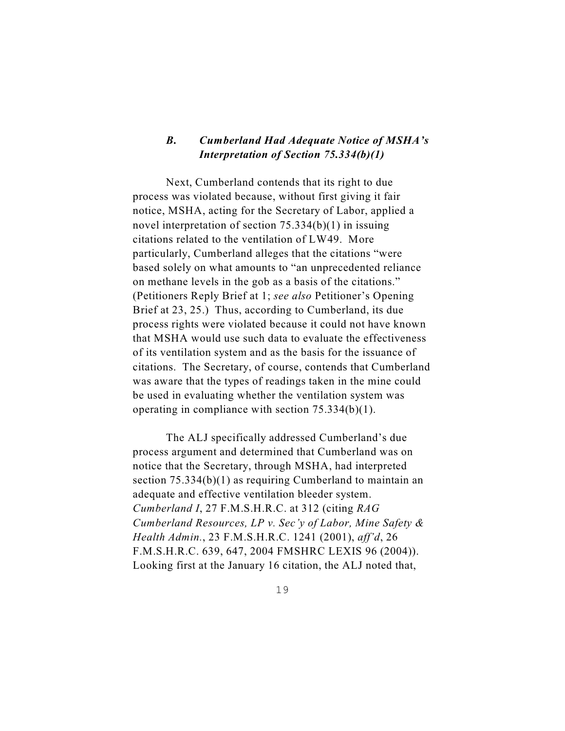## *B. Cumberland Had Adequate Notice of MSHA's Interpretation of Section 75.334(b)(1)*

Next, Cumberland contends that its right to due process was violated because, without first giving it fair notice, MSHA, acting for the Secretary of Labor, applied a novel interpretation of section 75.334(b)(1) in issuing citations related to the ventilation of LW49. More particularly, Cumberland alleges that the citations "were based solely on what amounts to "an unprecedented reliance on methane levels in the gob as a basis of the citations." (Petitioners Reply Brief at 1; *see also* Petitioner's Opening Brief at 23, 25.) Thus, according to Cumberland, its due process rights were violated because it could not have known that MSHA would use such data to evaluate the effectiveness of its ventilation system and as the basis for the issuance of citations. The Secretary, of course, contends that Cumberland was aware that the types of readings taken in the mine could be used in evaluating whether the ventilation system was operating in compliance with section 75.334(b)(1).

The ALJ specifically addressed Cumberland's due process argument and determined that Cumberland was on notice that the Secretary, through MSHA, had interpreted section 75.334(b)(1) as requiring Cumberland to maintain an adequate and effective ventilation bleeder system. *Cumberland I*, 27 F.M.S.H.R.C. at 312 (citing *RAG Cumberland Resources, LP v. Sec'y of Labor, Mine Safety & Health Admin.*, 23 F.M.S.H.R.C. 1241 (2001), *aff'd*, 26 F.M.S.H.R.C. 639, 647, 2004 FMSHRC LEXIS 96 (2004)). Looking first at the January 16 citation, the ALJ noted that,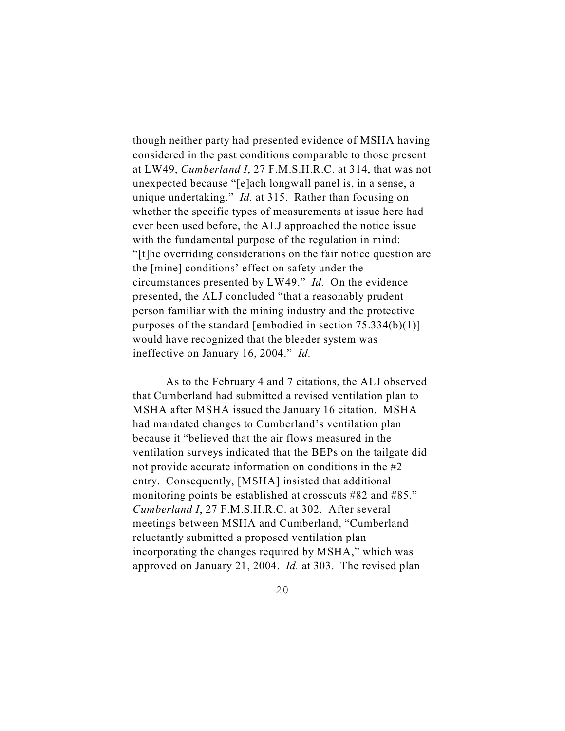though neither party had presented evidence of MSHA having considered in the past conditions comparable to those present at LW49, *Cumberland I*, 27 F.M.S.H.R.C. at 314, that was not unexpected because "[e]ach longwall panel is, in a sense, a unique undertaking." *Id.* at 315. Rather than focusing on whether the specific types of measurements at issue here had ever been used before, the ALJ approached the notice issue with the fundamental purpose of the regulation in mind: "[t]he overriding considerations on the fair notice question are the [mine] conditions' effect on safety under the circumstances presented by LW49." *Id.* On the evidence presented, the ALJ concluded "that a reasonably prudent person familiar with the mining industry and the protective purposes of the standard [embodied in section 75.334(b)(1)] would have recognized that the bleeder system was ineffective on January 16, 2004." *Id.*

As to the February 4 and 7 citations, the ALJ observed that Cumberland had submitted a revised ventilation plan to MSHA after MSHA issued the January 16 citation. MSHA had mandated changes to Cumberland's ventilation plan because it "believed that the air flows measured in the ventilation surveys indicated that the BEPs on the tailgate did not provide accurate information on conditions in the #2 entry. Consequently, [MSHA] insisted that additional monitoring points be established at crosscuts #82 and #85." *Cumberland I*, 27 F.M.S.H.R.C. at 302. After several meetings between MSHA and Cumberland, "Cumberland reluctantly submitted a proposed ventilation plan incorporating the changes required by MSHA," which was approved on January 21, 2004. *Id.* at 303. The revised plan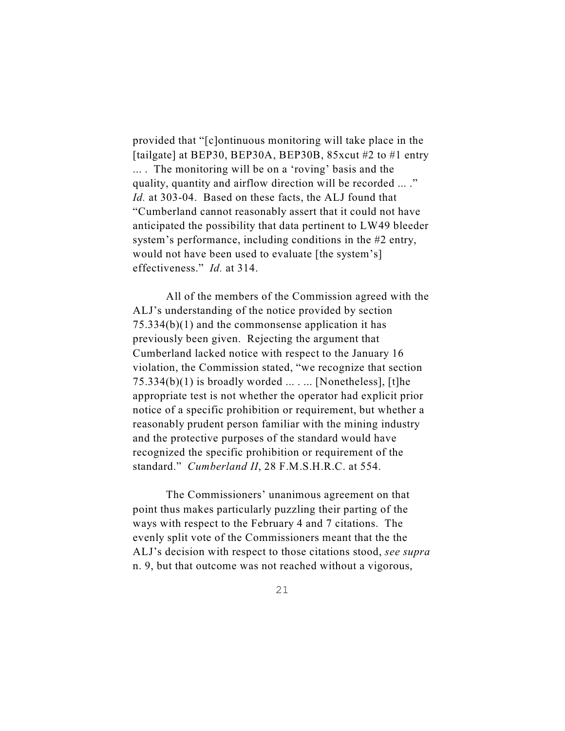provided that "[c]ontinuous monitoring will take place in the [tailgate] at BEP30, BEP30A, BEP30B, 85xcut #2 to #1 entry ... . The monitoring will be on a 'roving' basis and the quality, quantity and airflow direction will be recorded ... ." *Id.* at 303-04. Based on these facts, the ALJ found that "Cumberland cannot reasonably assert that it could not have anticipated the possibility that data pertinent to LW49 bleeder system's performance, including conditions in the #2 entry, would not have been used to evaluate [the system's] effectiveness." *Id.* at 314.

All of the members of the Commission agreed with the ALJ's understanding of the notice provided by section 75.334(b)(1) and the commonsense application it has previously been given. Rejecting the argument that Cumberland lacked notice with respect to the January 16 violation, the Commission stated, "we recognize that section  $75.334(b)(1)$  is broadly worded  $\dots$ ... [Nonetheless], [t]he appropriate test is not whether the operator had explicit prior notice of a specific prohibition or requirement, but whether a reasonably prudent person familiar with the mining industry and the protective purposes of the standard would have recognized the specific prohibition or requirement of the standard." *Cumberland II*, 28 F.M.S.H.R.C. at 554.

The Commissioners' unanimous agreement on that point thus makes particularly puzzling their parting of the ways with respect to the February 4 and 7 citations. The evenly split vote of the Commissioners meant that the the ALJ's decision with respect to those citations stood, *see supra* n. 9, but that outcome was not reached without a vigorous,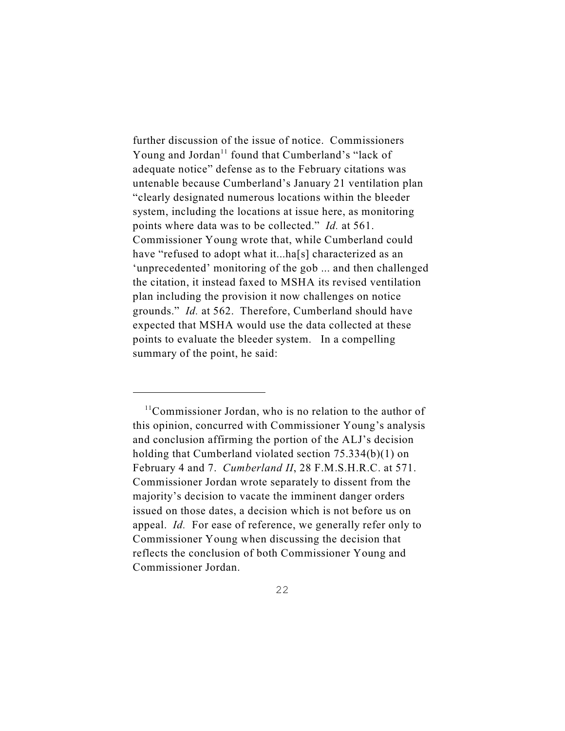further discussion of the issue of notice. Commissioners Young and Jordan<sup> $11$ </sup> found that Cumberland's "lack of adequate notice" defense as to the February citations was untenable because Cumberland's January 21 ventilation plan "clearly designated numerous locations within the bleeder system, including the locations at issue here, as monitoring points where data was to be collected." *Id.* at 561. Commissioner Young wrote that, while Cumberland could have "refused to adopt what it...ha[s] characterized as an 'unprecedented' monitoring of the gob ... and then challenged the citation, it instead faxed to MSHA its revised ventilation plan including the provision it now challenges on notice grounds." *Id.* at 562. Therefore, Cumberland should have expected that MSHA would use the data collected at these points to evaluate the bleeder system. In a compelling summary of the point, he said:

 $11$ Commissioner Jordan, who is no relation to the author of this opinion, concurred with Commissioner Young's analysis and conclusion affirming the portion of the ALJ's decision holding that Cumberland violated section 75.334(b)(1) on February 4 and 7. *Cumberland II*, 28 F.M.S.H.R.C. at 571. Commissioner Jordan wrote separately to dissent from the majority's decision to vacate the imminent danger orders issued on those dates, a decision which is not before us on appeal. *Id.* For ease of reference, we generally refer only to Commissioner Young when discussing the decision that reflects the conclusion of both Commissioner Young and Commissioner Jordan.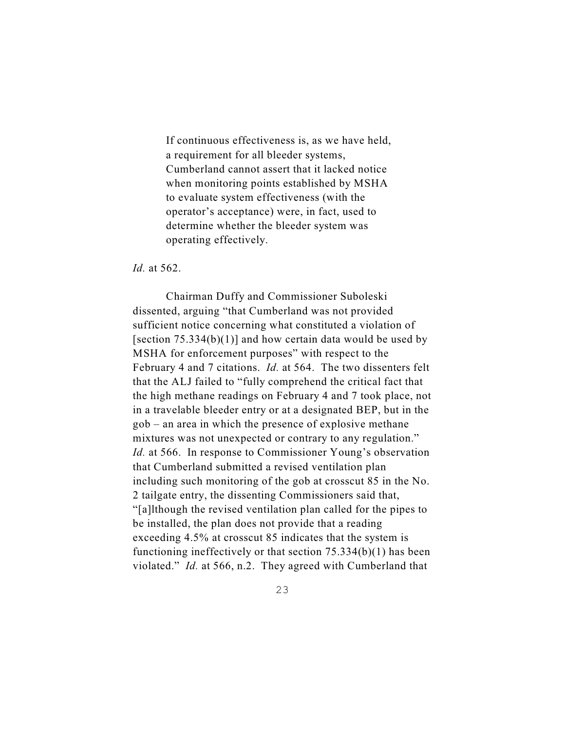If continuous effectiveness is, as we have held, a requirement for all bleeder systems, Cumberland cannot assert that it lacked notice when monitoring points established by MSHA to evaluate system effectiveness (with the operator's acceptance) were, in fact, used to determine whether the bleeder system was operating effectively.

*Id.* at 562.

Chairman Duffy and Commissioner Suboleski dissented, arguing "that Cumberland was not provided sufficient notice concerning what constituted a violation of [section  $75.334(b)(1)$ ] and how certain data would be used by MSHA for enforcement purposes" with respect to the February 4 and 7 citations. *Id.* at 564. The two dissenters felt that the ALJ failed to "fully comprehend the critical fact that the high methane readings on February 4 and 7 took place, not in a travelable bleeder entry or at a designated BEP, but in the gob – an area in which the presence of explosive methane mixtures was not unexpected or contrary to any regulation." *Id.* at 566. In response to Commissioner Young's observation that Cumberland submitted a revised ventilation plan including such monitoring of the gob at crosscut 85 in the No. 2 tailgate entry, the dissenting Commissioners said that, "[a]lthough the revised ventilation plan called for the pipes to be installed, the plan does not provide that a reading exceeding 4.5% at crosscut 85 indicates that the system is functioning ineffectively or that section 75.334(b)(1) has been violated." *Id.* at 566, n.2. They agreed with Cumberland that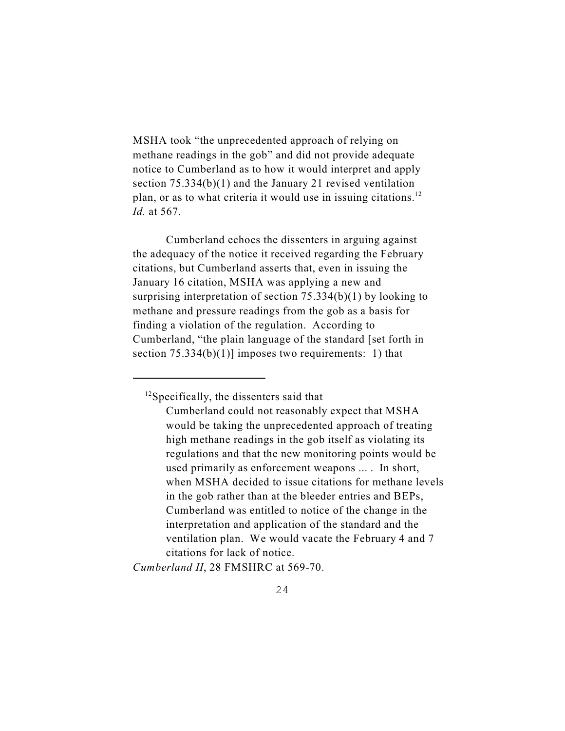MSHA took "the unprecedented approach of relying on methane readings in the gob" and did not provide adequate notice to Cumberland as to how it would interpret and apply section 75.334(b)(1) and the January 21 revised ventilation plan, or as to what criteria it would use in issuing citations.<sup>12</sup> *Id.* at 567.

Cumberland echoes the dissenters in arguing against the adequacy of the notice it received regarding the February citations, but Cumberland asserts that, even in issuing the January 16 citation, MSHA was applying a new and surprising interpretation of section 75.334(b)(1) by looking to methane and pressure readings from the gob as a basis for finding a violation of the regulation. According to Cumberland, "the plain language of the standard [set forth in section  $75.334(b)(1)$ ] imposes two requirements: 1) that

*Cumberland II*, 28 FMSHRC at 569-70.

 $12$ Specifically, the dissenters said that

Cumberland could not reasonably expect that MSHA would be taking the unprecedented approach of treating high methane readings in the gob itself as violating its regulations and that the new monitoring points would be used primarily as enforcement weapons ... . In short, when MSHA decided to issue citations for methane levels in the gob rather than at the bleeder entries and BEPs, Cumberland was entitled to notice of the change in the interpretation and application of the standard and the ventilation plan. We would vacate the February 4 and 7 citations for lack of notice.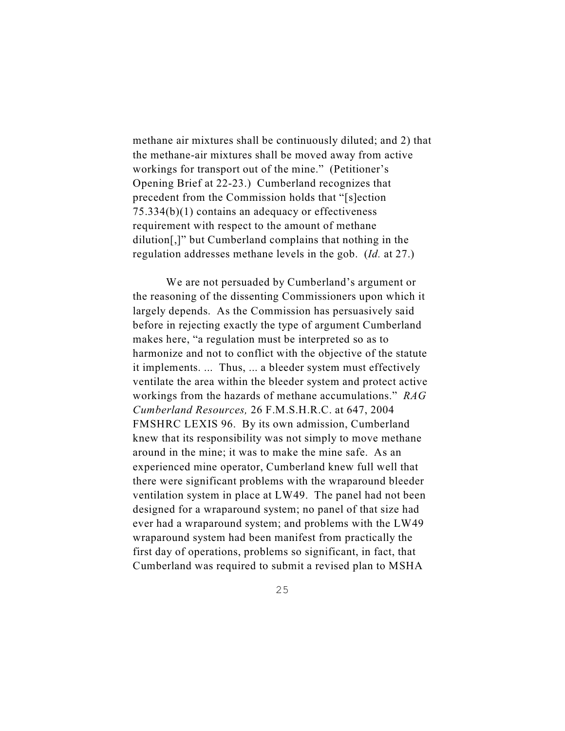methane air mixtures shall be continuously diluted; and 2) that the methane-air mixtures shall be moved away from active workings for transport out of the mine." (Petitioner's Opening Brief at 22-23.) Cumberland recognizes that precedent from the Commission holds that "[s]ection 75.334(b)(1) contains an adequacy or effectiveness requirement with respect to the amount of methane dilution[,]" but Cumberland complains that nothing in the regulation addresses methane levels in the gob. (*Id.* at 27.)

We are not persuaded by Cumberland's argument or the reasoning of the dissenting Commissioners upon which it largely depends. As the Commission has persuasively said before in rejecting exactly the type of argument Cumberland makes here, "a regulation must be interpreted so as to harmonize and not to conflict with the objective of the statute it implements. ... Thus, ... a bleeder system must effectively ventilate the area within the bleeder system and protect active workings from the hazards of methane accumulations." *RAG Cumberland Resources,* 26 F.M.S.H.R.C. at 647, 2004 FMSHRC LEXIS 96. By its own admission, Cumberland knew that its responsibility was not simply to move methane around in the mine; it was to make the mine safe. As an experienced mine operator, Cumberland knew full well that there were significant problems with the wraparound bleeder ventilation system in place at LW49. The panel had not been designed for a wraparound system; no panel of that size had ever had a wraparound system; and problems with the LW49 wraparound system had been manifest from practically the first day of operations, problems so significant, in fact, that Cumberland was required to submit a revised plan to MSHA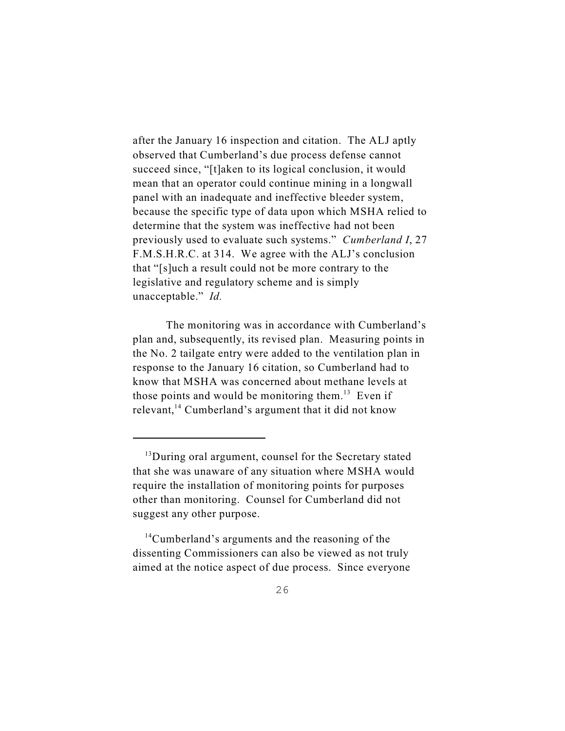after the January 16 inspection and citation. The ALJ aptly observed that Cumberland's due process defense cannot succeed since, "[t]aken to its logical conclusion, it would mean that an operator could continue mining in a longwall panel with an inadequate and ineffective bleeder system, because the specific type of data upon which MSHA relied to determine that the system was ineffective had not been previously used to evaluate such systems." *Cumberland I*, 27 F.M.S.H.R.C. at 314. We agree with the ALJ's conclusion that "[s]uch a result could not be more contrary to the legislative and regulatory scheme and is simply unacceptable." *Id.*

The monitoring was in accordance with Cumberland's plan and, subsequently, its revised plan. Measuring points in the No. 2 tailgate entry were added to the ventilation plan in response to the January 16 citation, so Cumberland had to know that MSHA was concerned about methane levels at those points and would be monitoring them. $13$  Even if relevant, $^{14}$  Cumberland's argument that it did not know

 $14$ Cumberland's arguments and the reasoning of the dissenting Commissioners can also be viewed as not truly aimed at the notice aspect of due process. Since everyone

 $13$ During oral argument, counsel for the Secretary stated that she was unaware of any situation where MSHA would require the installation of monitoring points for purposes other than monitoring. Counsel for Cumberland did not suggest any other purpose.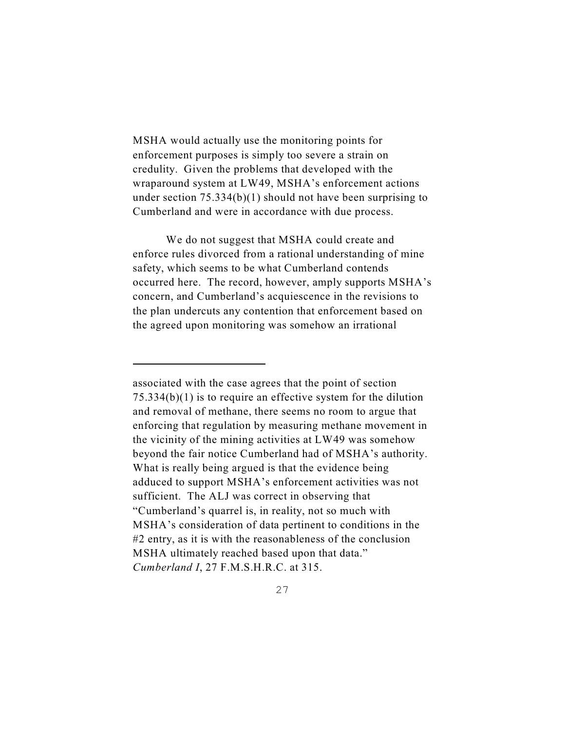MSHA would actually use the monitoring points for enforcement purposes is simply too severe a strain on credulity. Given the problems that developed with the wraparound system at LW49, MSHA's enforcement actions under section 75.334(b)(1) should not have been surprising to Cumberland and were in accordance with due process.

We do not suggest that MSHA could create and enforce rules divorced from a rational understanding of mine safety, which seems to be what Cumberland contends occurred here. The record, however, amply supports MSHA's concern, and Cumberland's acquiescence in the revisions to the plan undercuts any contention that enforcement based on the agreed upon monitoring was somehow an irrational

associated with the case agrees that the point of section 75.334(b)(1) is to require an effective system for the dilution and removal of methane, there seems no room to argue that enforcing that regulation by measuring methane movement in the vicinity of the mining activities at LW49 was somehow beyond the fair notice Cumberland had of MSHA's authority. What is really being argued is that the evidence being adduced to support MSHA's enforcement activities was not sufficient. The ALJ was correct in observing that "Cumberland's quarrel is, in reality, not so much with MSHA's consideration of data pertinent to conditions in the #2 entry, as it is with the reasonableness of the conclusion MSHA ultimately reached based upon that data." *Cumberland I*, 27 F.M.S.H.R.C. at 315.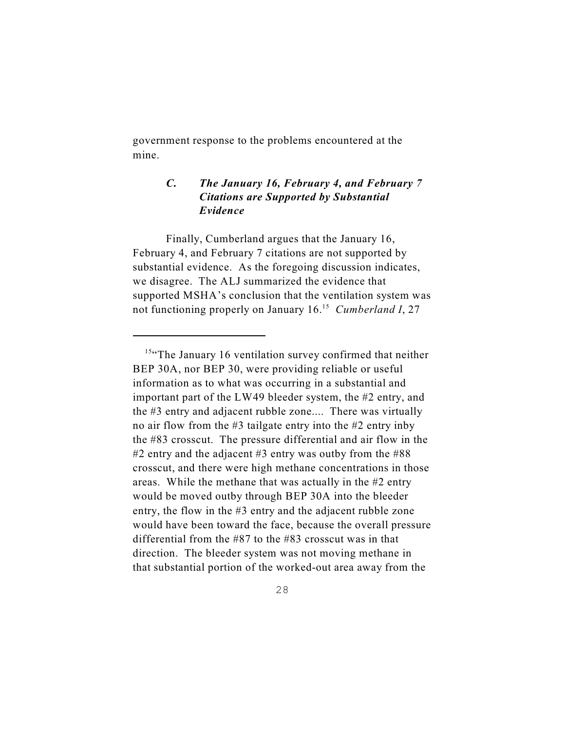government response to the problems encountered at the mine.

# *C. The January 16, February 4, and February 7 Citations are Supported by Substantial Evidence*

Finally, Cumberland argues that the January 16, February 4, and February 7 citations are not supported by substantial evidence. As the foregoing discussion indicates, we disagree. The ALJ summarized the evidence that supported MSHA's conclusion that the ventilation system was not functioning properly on January 16.<sup>15</sup> Cumberland I, 27

 $15$ "The January 16 ventilation survey confirmed that neither BEP 30A, nor BEP 30, were providing reliable or useful information as to what was occurring in a substantial and important part of the LW49 bleeder system, the #2 entry, and the #3 entry and adjacent rubble zone.... There was virtually no air flow from the #3 tailgate entry into the #2 entry inby the #83 crosscut. The pressure differential and air flow in the #2 entry and the adjacent #3 entry was outby from the #88 crosscut, and there were high methane concentrations in those areas. While the methane that was actually in the #2 entry would be moved outby through BEP 30A into the bleeder entry, the flow in the #3 entry and the adjacent rubble zone would have been toward the face, because the overall pressure differential from the #87 to the #83 crosscut was in that direction. The bleeder system was not moving methane in that substantial portion of the worked-out area away from the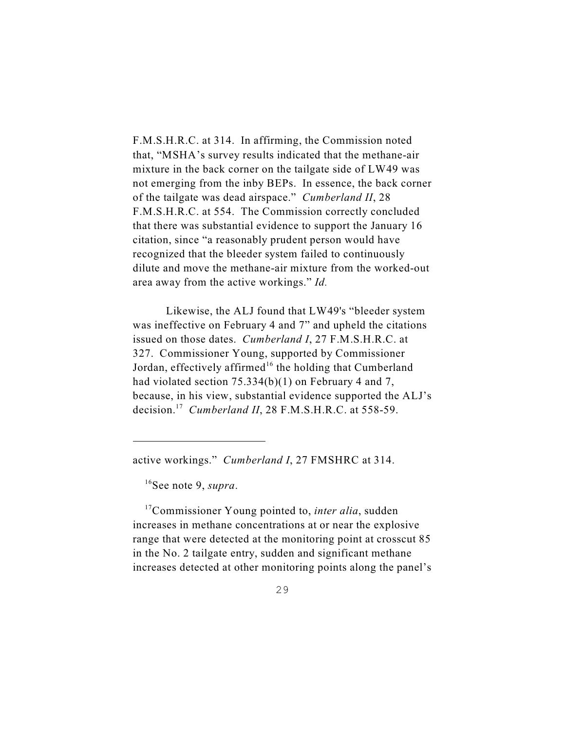F.M.S.H.R.C. at 314. In affirming, the Commission noted that, "MSHA's survey results indicated that the methane-air mixture in the back corner on the tailgate side of LW49 was not emerging from the inby BEPs. In essence, the back corner of the tailgate was dead airspace." *Cumberland II*, 28 F.M.S.H.R.C. at 554. The Commission correctly concluded that there was substantial evidence to support the January 16 citation, since "a reasonably prudent person would have recognized that the bleeder system failed to continuously dilute and move the methane-air mixture from the worked-out area away from the active workings." *Id.*

Likewise, the ALJ found that LW49's "bleeder system was ineffective on February 4 and 7" and upheld the citations issued on those dates. *Cumberland I*, 27 F.M.S.H.R.C. at 327. Commissioner Young, supported by Commissioner Jordan, effectively affirmed<sup>16</sup> the holding that Cumberland had violated section 75.334(b)(1) on February 4 and 7, because, in his view, substantial evidence supported the ALJ's decision.<sup>17</sup> Cumberland II, 28 F.M.S.H.R.C. at 558-59.

<sup>16</sup>See note 9, *supra*.

<sup>17</sup>Commissioner Young pointed to, *inter alia*, sudden increases in methane concentrations at or near the explosive range that were detected at the monitoring point at crosscut 85 in the No. 2 tailgate entry, sudden and significant methane increases detected at other monitoring points along the panel's

active workings." *Cumberland I*, 27 FMSHRC at 314.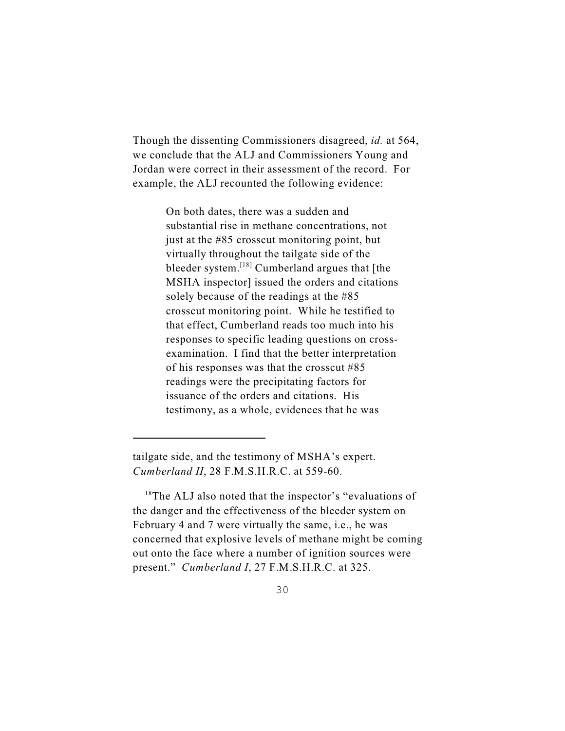Though the dissenting Commissioners disagreed, *id.* at 564, we conclude that the ALJ and Commissioners Young and Jordan were correct in their assessment of the record. For example, the ALJ recounted the following evidence:

> On both dates, there was a sudden and substantial rise in methane concentrations, not just at the #85 crosscut monitoring point, but virtually throughout the tailgate side of the bleeder system. $^{[18]}$  Cumberland argues that [the MSHA inspector] issued the orders and citations solely because of the readings at the #85 crosscut monitoring point. While he testified to that effect, Cumberland reads too much into his responses to specific leading questions on crossexamination. I find that the better interpretation of his responses was that the crosscut #85 readings were the precipitating factors for issuance of the orders and citations. His testimony, as a whole, evidences that he was

 $18$ The ALJ also noted that the inspector's "evaluations of the danger and the effectiveness of the bleeder system on February 4 and 7 were virtually the same, i.e., he was concerned that explosive levels of methane might be coming out onto the face where a number of ignition sources were present." *Cumberland I*, 27 F.M.S.H.R.C. at 325.

tailgate side, and the testimony of MSHA's expert. *Cumberland II*, 28 F.M.S.H.R.C. at 559-60.